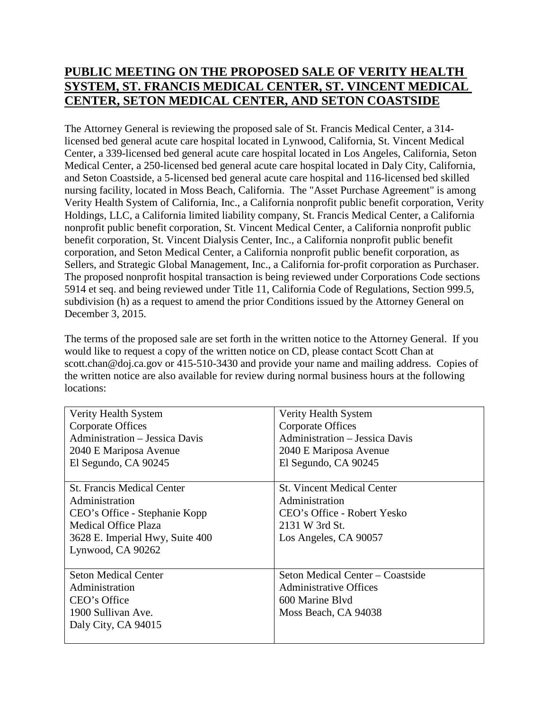## **PUBLIC MEETING ON THE PROPOSED SALE OF VERITY HEALTH SYSTEM, ST. FRANCIS MEDICAL CENTER, ST. VINCENT MEDICAL CENTER, SETON MEDICAL CENTER, AND SETON COASTSIDE**

The Attorney General is reviewing the proposed sale of St. Francis Medical Center, a 314 licensed bed general acute care hospital located in Lynwood, California, St. Vincent Medical Center, a 339-licensed bed general acute care hospital located in Los Angeles, California, Seton Medical Center, a 250-licensed bed general acute care hospital located in Daly City, California, and Seton Coastside, a 5-licensed bed general acute care hospital and 116-licensed bed skilled nursing facility, located in Moss Beach, California. The "Asset Purchase Agreement" is among Verity Health System of California, Inc., a California nonprofit public benefit corporation, Verity Holdings, LLC, a California limited liability company, St. Francis Medical Center, a California nonprofit public benefit corporation, St. Vincent Medical Center, a California nonprofit public benefit corporation, St. Vincent Dialysis Center, Inc., a California nonprofit public benefit corporation, and Seton Medical Center, a California nonprofit public benefit corporation, as Sellers, and Strategic Global Management, Inc., a California for-profit corporation as Purchaser. The proposed nonprofit hospital transaction is being reviewed under Corporations Code sections 5914 et seq. and being reviewed under Title 11, California Code of Regulations, Section 999.5, subdivision (h) as a request to amend the prior Conditions issued by the Attorney General on December 3, 2015.

The terms of the proposed sale are set forth in the written notice to the Attorney General. If you would like to request a copy of the written notice on CD, please contact Scott Chan at scott.chan@doj.ca.gov or 415-510-3430 and provide your name and mailing address. Copies of the written notice are also available for review during normal business hours at the following locations:

| Verity Health System              | Verity Health System                  |
|-----------------------------------|---------------------------------------|
| Corporate Offices                 | Corporate Offices                     |
| Administration - Jessica Davis    | <b>Administration - Jessica Davis</b> |
| 2040 E Mariposa Avenue            | 2040 E Mariposa Avenue                |
| El Segundo, CA 90245              | El Segundo, CA 90245                  |
|                                   |                                       |
| <b>St. Francis Medical Center</b> | <b>St. Vincent Medical Center</b>     |
| Administration                    | Administration                        |
| CEO's Office - Stephanie Kopp     | CEO's Office - Robert Yesko           |
| Medical Office Plaza              | 2131 W 3rd St.                        |
| 3628 E. Imperial Hwy, Suite 400   | Los Angeles, CA 90057                 |
| Lynwood, CA 90262                 |                                       |
|                                   |                                       |
| <b>Seton Medical Center</b>       | Seton Medical Center – Coastside      |
| Administration                    | <b>Administrative Offices</b>         |
| CEO's Office                      | 600 Marine Blyd                       |
| 1900 Sullivan Ave.                | Moss Beach, CA 94038                  |
| Daly City, CA 94015               |                                       |
|                                   |                                       |